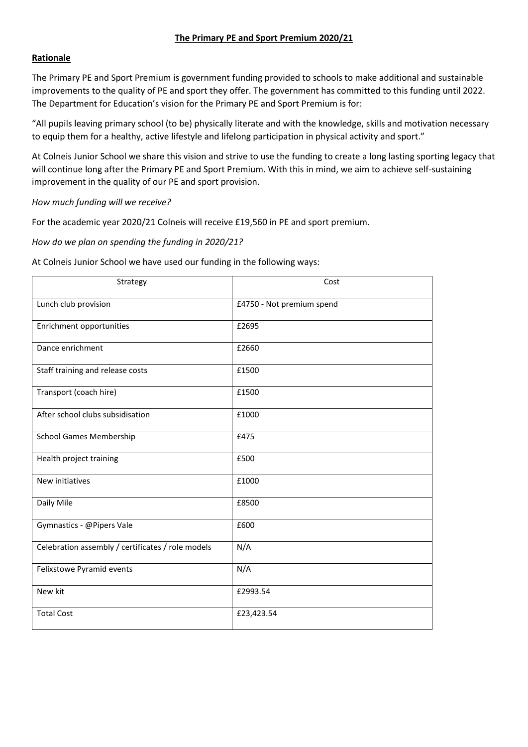# **The Primary PE and Sport Premium 2020/21**

# **Rationale**

The Primary PE and Sport Premium is government funding provided to schools to make additional and sustainable improvements to the quality of PE and sport they offer. The government has committed to this funding until 2022. The Department for Education's vision for the Primary PE and Sport Premium is for:

"All pupils leaving primary school (to be) physically literate and with the knowledge, skills and motivation necessary to equip them for a healthy, active lifestyle and lifelong participation in physical activity and sport."

At Colneis Junior School we share this vision and strive to use the funding to create a long lasting sporting legacy that will continue long after the Primary PE and Sport Premium. With this in mind, we aim to achieve self-sustaining improvement in the quality of our PE and sport provision.

### *How much funding will we receive?*

For the academic year 2020/21 Colneis will receive £19,560 in PE and sport premium.

# *How do we plan on spending the funding in 2020/21?*

At Colneis Junior School we have used our funding in the following ways:

| Strategy                                          | Cost                      |  |  |  |
|---------------------------------------------------|---------------------------|--|--|--|
| Lunch club provision                              | £4750 - Not premium spend |  |  |  |
| Enrichment opportunities                          | £2695                     |  |  |  |
| Dance enrichment                                  | £2660                     |  |  |  |
| Staff training and release costs                  | £1500                     |  |  |  |
| Transport (coach hire)                            | £1500                     |  |  |  |
| After school clubs subsidisation                  | £1000                     |  |  |  |
| <b>School Games Membership</b>                    | £475                      |  |  |  |
| Health project training                           | £500                      |  |  |  |
| New initiatives                                   | £1000                     |  |  |  |
| Daily Mile                                        | £8500                     |  |  |  |
| Gymnastics - @Pipers Vale                         | £600                      |  |  |  |
| Celebration assembly / certificates / role models | N/A                       |  |  |  |
| Felixstowe Pyramid events                         | N/A                       |  |  |  |
| New kit                                           | £2993.54                  |  |  |  |
| <b>Total Cost</b>                                 | £23,423.54                |  |  |  |